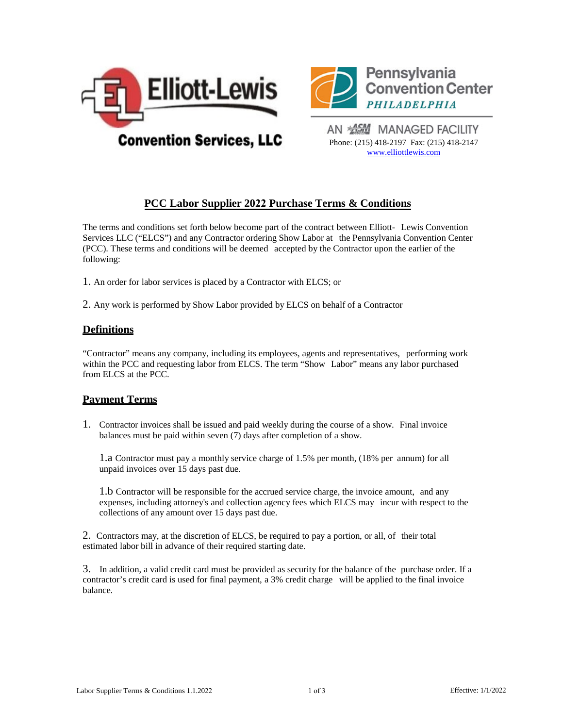



AN **ASHI** MANAGED FACILITY Phone: (215) 418-2197 Fax: (215) 418-2147 [www.elliottlewis](http://www.elliottlewis.com/).com

# **PCC Labor Supplier 2022 Purchase Terms & Conditions**

The terms and conditions set forth below become part of the contract between Elliott- Lewis Convention Services LLC ("ELCS") and any Contractor ordering Show Labor at the Pennsylvania Convention Center (PCC). These terms and conditions will be deemed accepted by the Contractor upon the earlier of the following:

1. An order for labor services is placed by a Contractor with ELCS; or

2. Any work is performed by Show Labor provided by ELCS on behalf of a Contractor

# **Definitions**

"Contractor" means any company, including its employees, agents and representatives, performing work within the PCC and requesting labor from ELCS. The term "Show Labor" means any labor purchased from ELCS at the PCC.

#### **Payment Terms**

1. Contractor invoices shall be issued and paid weekly during the course of a show. Final invoice balances must be paid within seven (7) days after completion of a show.

1.a Contractor must pay a monthly service charge of 1.5% per month, (18% per annum) for all unpaid invoices over 15 days past due.

1.b Contractor will be responsible for the accrued service charge, the invoice amount, and any expenses, including attorney's and collection agency fees which ELCS may incur with respect to the collections of any amount over 15 days past due.

2. Contractors may, at the discretion of ELCS, be required to pay a portion, or all, of their total estimated labor bill in advance of their required starting date.

3. In addition, a valid credit card must be provided as security for the balance of the purchase order. If a contractor's credit card is used for final payment, a 3% credit charge will be applied to the final invoice balance.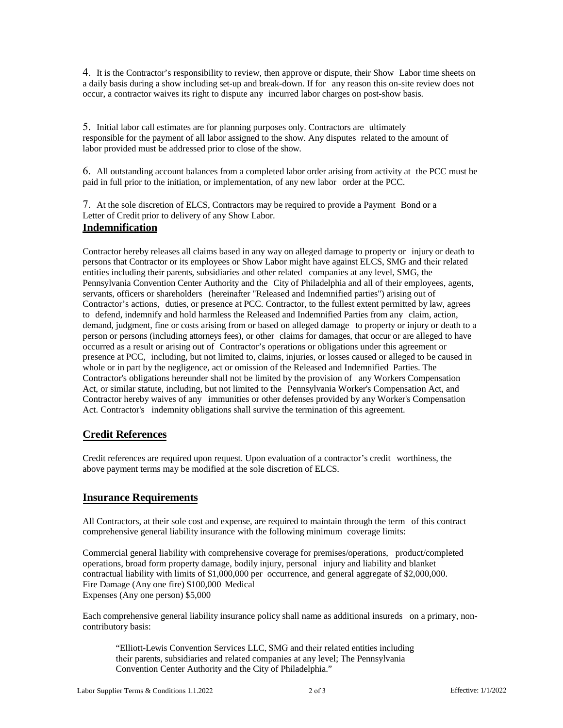4. It is the Contractor's responsibility to review, then approve or dispute, their Show Labor time sheets on a daily basis during a show including set-up and break-down. If for any reason this on-site review does not occur, a contractor waives its right to dispute any incurred labor charges on post-show basis.

5. Initial labor call estimates are for planning purposes only. Contractors are ultimately responsible for the payment of all labor assigned to the show. Any disputes related to the amount of labor provided must be addressed prior to close of the show.

6. All outstanding account balances from a completed labor order arising from activity at the PCC must be paid in full prior to the initiation, or implementation, of any new labor order at the PCC.

7. At the sole discretion of ELCS, Contractors may be required to provide a Payment Bond or a Letter of Credit prior to delivery of any Show Labor.

# **Indemnification**

Contractor hereby releases all claims based in any way on alleged damage to property or injury or death to persons that Contractor or its employees or Show Labor might have against ELCS, SMG and their related entities including their parents, subsidiaries and other related companies at any level, SMG, the Pennsylvania Convention Center Authority and the City of Philadelphia and all of their employees, agents, servants, officers or shareholders (hereinafter "Released and Indemnified parties") arising out of Contractor's actions, duties, or presence at PCC. Contractor, to the fullest extent permitted by law, agrees to defend, indemnify and hold harmless the Released and Indemnified Parties from any claim, action, demand, judgment, fine or costs arising from or based on alleged damage to property or injury or death to a person or persons (including attorneys fees), or other claims for damages, that occur or are alleged to have occurred as a result or arising out of Contractor's operations or obligations under this agreement or presence at PCC, including, but not limited to, claims, injuries, or losses caused or alleged to be caused in whole or in part by the negligence, act or omission of the Released and Indemnified Parties. The Contractor's obligations hereunder shall not be limited by the provision of any Workers Compensation Act, or similar statute, including, but not limited to the Pennsylvania Worker's Compensation Act, and Contractor hereby waives of any immunities or other defenses provided by any Worker's Compensation Act. Contractor's indemnity obligations shall survive the termination of this agreement.

## **Credit References**

Credit references are required upon request. Upon evaluation of a contractor's credit worthiness, the above payment terms may be modified at the sole discretion of ELCS.

## **Insurance Requirements**

All Contractors, at their sole cost and expense, are required to maintain through the term of this contract comprehensive general liability insurance with the following minimum coverage limits:

Commercial general liability with comprehensive coverage for premises/operations, product/completed operations, broad form property damage, bodily injury, personal injury and liability and blanket contractual liability with limits of \$1,000,000 per occurrence, and general aggregate of \$2,000,000. Fire Damage (Any one fire) \$100,000 Medical Expenses (Any one person) \$5,000

Each comprehensive general liability insurance policy shall name as additional insureds on a primary, noncontributory basis:

"Elliott-Lewis Convention Services LLC, SMG and their related entities including their parents, subsidiaries and related companies at any level; The Pennsylvania Convention Center Authority and the City of Philadelphia."